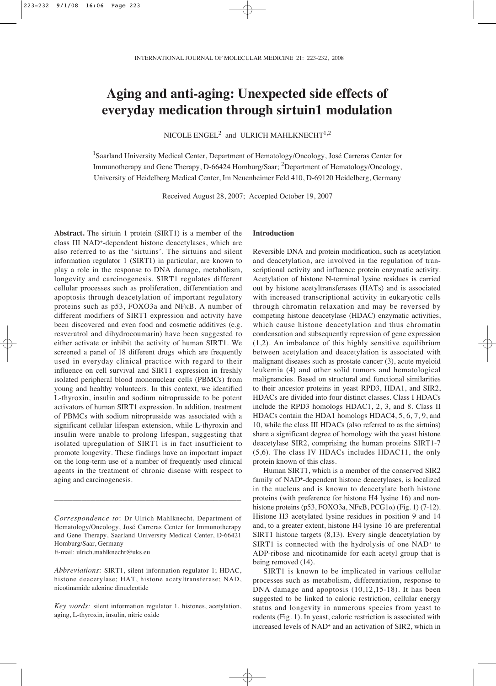# **Aging and anti-aging: Unexpected side effects of everyday medication through sirtuin1 modulation**

NICOLE ENGEL<sup>2</sup> and ULRICH MAHLKNECHT<sup>1,2</sup>

<sup>1</sup>Saarland University Medical Center, Department of Hematology/Oncology, José Carreras Center for Immunotherapy and Gene Therapy, D-66424 Homburg/Saar; 2Department of Hematology/Oncology, University of Heidelberg Medical Center, Im Neuenheimer Feld 410, D-69120 Heidelberg, Germany

Received August 28, 2007; Accepted October 19, 2007

**Abstract.** The sirtuin 1 protein (SIRT1) is a member of the class III NAD+-dependent histone deacetylases, which are also referred to as the 'sirtuins'. The sirtuins and silent information regulator 1 (SIRT1) in particular, are known to play a role in the response to DNA damage, metabolism, longevity and carcinogenesis. SIRT1 regulates different cellular processes such as proliferation, differentiation and apoptosis through deacetylation of important regulatory proteins such as p53, FOXO3a and NFκB. A number of different modifiers of SIRT1 expression and activity have been discovered and even food and cosmetic additives (e.g. resveratrol and dihydrocoumarin) have been suggested to either activate or inhibit the activity of human SIRT1. We screened a panel of 18 different drugs which are frequently used in everyday clinical practice with regard to their influence on cell survival and SIRT1 expression in freshly isolated peripheral blood mononuclear cells (PBMCs) from young and healthy volunteers. In this context, we identified L-thyroxin, insulin and sodium nitroprusside to be potent activators of human SIRT1 expression. In addition, treatment of PBMCs with sodium nitroprusside was associated with a significant cellular lifespan extension, while L-thyroxin and insulin were unable to prolong lifespan, suggesting that isolated upregulation of SIRT1 is in fact insufficient to promote longevity. These findings have an important impact on the long-term use of a number of frequently used clinical agents in the treatment of chronic disease with respect to aging and carcinogenesis.

\_\_\_\_\_\_\_\_\_\_\_\_\_\_\_\_\_\_\_\_\_\_\_\_\_\_\_\_\_\_\_\_\_\_\_\_\_\_\_\_\_

## **Introduction**

Reversible DNA and protein modification, such as acetylation and deacetylation, are involved in the regulation of transcriptional activity and influence protein enzymatic activity. Acetylation of histone N-terminal lysine residues is carried out by histone acetyltransferases (HATs) and is associated with increased transcriptional activity in eukaryotic cells through chromatin relaxation and may be reversed by competing histone deacetylase (HDAC) enzymatic activities, which cause histone deacetylation and thus chromatin condensation and subsequently repression of gene expression (1,2). An imbalance of this highly sensitive equilibrium between acetylation and deacetylation is associated with malignant diseases such as prostate cancer (3), acute myeloid leukemia (4) and other solid tumors and hematological malignancies. Based on structural and functional similarities to their ancestor proteins in yeast RPD3, HDA1, and SIR2, HDACs are divided into four distinct classes. Class I HDACs include the RPD3 homologs HDAC1, 2, 3, and 8. Class II HDACs contain the HDA1 homologs HDAC4, 5, 6, 7, 9, and 10, while the class III HDACs (also referred to as the sirtuins) share a significant degree of homology with the yeast histone deacetylase SIR2, comprising the human proteins SIRT1-7 (5,6). The class IV HDACs includes HDAC11, the only protein known of this class.

Human SIRT1, which is a member of the conserved SIR2 family of NAD+-dependent histone deacetylases, is localized in the nucleus and is known to deacetylate both histone proteins (with preference for histone H4 lysine 16) and nonhistone proteins (p53, FOXO3a, NF $\kappa$ B, PCG1 $\alpha$ ) (Fig. 1) (7-12). Histone H3 acetylated lysine residues in position 9 and 14 and, to a greater extent, histone H4 lysine 16 are preferential SIRT1 histone targets (8,13). Every single deacetylation by SIRT1 is connected with the hydrolysis of one NAD+ to ADP-ribose and nicotinamide for each acetyl group that is being removed (14).

SIRT1 is known to be implicated in various cellular processes such as metabolism, differentiation, response to DNA damage and apoptosis (10,12,15-18). It has been suggested to be linked to caloric restriction, cellular energy status and longevity in numerous species from yeast to rodents (Fig. 1). In yeast, caloric restriction is associated with increased levels of NAD+ and an activation of SIR2, which in

*Correspondence to*: Dr Ulrich Mahlknecht, Department of Hematology/Oncology, José Carreras Center for Immunotherapy and Gene Therapy, Saarland University Medical Center, D-66421 Homburg/Saar, Germany E-mail: ulrich.mahlknecht@uks.eu

*Abbreviations*: SIRT1, silent information regulator 1; HDAC, histone deacetylase; HAT, histone acetyltransferase; NAD, nicotinamide adenine dinucleotide

*Key words:* silent information regulator 1, histones, acetylation, aging, L-thyroxin, insulin, nitric oxide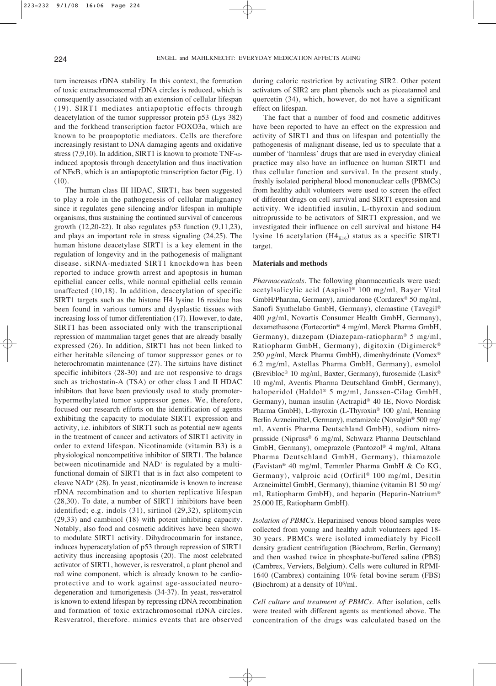turn increases rDNA stability. In this context, the formation of toxic extrachromosomal rDNA circles is reduced, which is consequently associated with an extension of cellular lifespan (19). SIRT1 mediates antiapoptotic effects through deacetylation of the tumor suppressor protein p53 (Lys 382) and the forkhead transcription factor FOXO3a, which are known to be proapoptotic mediators. Cells are therefore increasingly resistant to DNA damaging agents and oxidative stress (7,9,10). In addition, SIRT1 is known to promote TNF- $\alpha$ induced apoptosis through deacetylation and thus inactivation of NFκB, which is an antiapoptotic transcription factor (Fig. 1) (10).

The human class III HDAC, SIRT1, has been suggested to play a role in the pathogenesis of cellular malignancy since it regulates gene silencing and/or lifespan in multiple organisms, thus sustaining the continued survival of cancerous growth (12,20-22). It also regulates p53 function (9,11,23), and plays an important role in stress signaling (24,25). The human histone deacetylase SIRT1 is a key element in the regulation of longevity and in the pathogenesis of malignant disease. siRNA-mediated SIRT1 knockdown has been reported to induce growth arrest and apoptosis in human epithelial cancer cells, while normal epithelial cells remain unaffected (10,18). In addition, deacetylation of specific SIRT1 targets such as the histone H4 lysine 16 residue has been found in various tumors and dysplastic tissues with increasing loss of tumor differentiation (17). However, to date, SIRT1 has been associated only with the transcriptional repression of mammalian target genes that are already basally expressed (26). In addition, SIRT1 has not been linked to either heritable silencing of tumor suppressor genes or to heterochromatin maintenance (27). The sirtuins have distinct specific inhibitors (28-30) and are not responsive to drugs such as trichostatin-A (TSA) or other class I and II HDAC inhibitors that have been previously used to study promoterhypermethylated tumor suppressor genes. We, therefore, focused our research efforts on the identification of agents exhibiting the capacity to modulate SIRT1 expression and activity, i.e. inhibitors of SIRT1 such as potential new agents in the treatment of cancer and activators of SIRT1 activity in order to extend lifespan. Nicotinamide (vitamin B3) is a physiological noncompetitive inhibitor of SIRT1. The balance between nicotinamide and NAD<sup>+</sup> is regulated by a multifunctional domain of SIRT1 that is in fact also competent to cleave NAD+ (28). In yeast, nicotinamide is known to increase rDNA recombination and to shorten replicative lifespan (28,30). To date, a number of SIRT1 inhibitors have been identified; e.g. indols (31), sirtinol (29,32), splitomycin (29,33) and cambinol (18) with potent inhibiting capacity. Notably, also food and cosmetic additives have been shown to modulate SIRT1 activity. Dihydrocoumarin for instance, induces hyperacetylation of p53 through repression of SIRT1 activity thus increasing apoptosis (20). The most celebrated activator of SIRT1, however, is resveratrol, a plant phenol and red wine component, which is already known to be cardioprotective and to work against age-associated neurodegeneration and tumorigenesis (34-37). In yeast, resveratrol is known to extend lifespan by repressing rDNA recombination and formation of toxic extrachromosomal rDNA circles. Resveratrol, therefore. mimics events that are observed

during caloric restriction by activating SIR2. Other potent activators of SIR2 are plant phenols such as piceatannol and quercetin (34), which, however, do not have a significant effect on lifespan.

The fact that a number of food and cosmetic additives have been reported to have an effect on the expression and activity of SIRT1 and thus on lifespan and potentially the pathogenesis of malignant disease, led us to speculate that a number of 'harmless' drugs that are used in everyday clinical practice may also have an influence on human SIRT1 and thus cellular function and survival. In the present study, freshly isolated peripheral blood mononuclear cells (PBMCs) from healthy adult volunteers were used to screen the effect of different drugs on cell survival and SIRT1 expression and activity. We identified insulin, L-thyroxin and sodium nitroprusside to be activators of SIRT1 expression, and we investigated their influence on cell survival and histone H4 lysine 16 acetylation  $(H4_{K16})$  status as a specific SIRT1 target.

### **Materials and methods**

*Pharmaceuticals*. The following pharmaceuticals were used: acetylsalicylic acid (Aspisol® 100 mg/ml, Bayer Vital GmbH/Pharma, Germany), amiodarone (Cordarex® 50 mg/ml, Sanofi Synthelabo GmbH, Germany), clemastine (Tavegil® 400  $\mu$ g/ml, Novartis Consumer Health GmbH, Germany), dexamethasone (Fortecortin® 4 mg/ml, Merck Pharma GmbH, Germany), diazepam (Diazepam-ratiopharm® 5 mg/ml, Ratiopharm GmbH, Germany), digitoxin (Digimerck® 250  $\mu$ g/ml, Merck Pharma GmbH), dimenhydrinate (Vomex<sup>®</sup> 6.2 mg/ml, Astellas Pharma GmbH, Germany), esmolol (Brevibloc® 10 mg/ml, Baxter, Germany), furosemide (Lasix® 10 mg/ml, Aventis Pharma Deutschland GmbH, Germany), haloperidol (Haldol® 5 mg/ml, Janssen-Cilag GmbH, Germany), human insulin (Actrapid® 40 IE, Novo Nordisk Pharma GmbH), L-thyroxin (L-Thyroxin® 100 g/ml, Henning Berlin Arzneimittel, Germany), metamizole (Novalgin® 500 mg/ ml, Aventis Pharma Deutschland GmbH), sodium nitroprusside (Nipruss® 6 mg/ml, Schwarz Pharma Deutschland GmbH, Germany), omeprazole (Pantozol® 4 mg/ml, Altana Pharma Deutschland GmbH, Germany), thiamazole (Favistan® 40 mg/ml, Temmler Pharma GmbH & Co KG, Germany), valproic acid (Orfiril® 100 mg/ml, Desitin Arzneimittel GmbH, Germany), thiamine (vitamin B1 50 mg/ ml, Ratiopharm GmbH), and heparin (Heparin-Natrium® 25.000 IE, Ratiopharm GmbH).

*Isolation of PBMCs*. Heparinised venous blood samples were collected from young and healthy adult volunteers aged 18- 30 years. PBMCs were isolated immediately by Ficoll density gradient centrifugation (Biochrom, Berlin, Germany) and then washed twice in phosphate-buffered saline (PBS) (Cambrex, Verviers, Belgium). Cells were cultured in RPMI-1640 (Cambrex) containing 10% fetal bovine serum (FBS) (Biochrom) at a density of  $10^6$ /ml.

*Cell culture and treatment of PBMCs*. After isolation, cells were treated with different agents as mentioned above. The concentration of the drugs was calculated based on the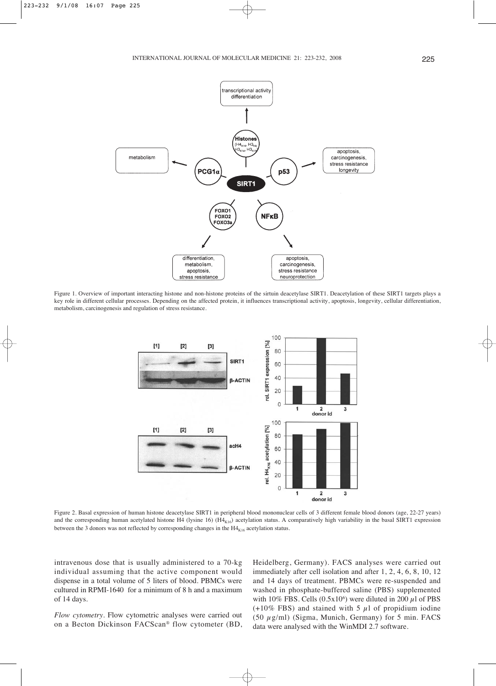

Figure 1. Overview of important interacting histone and non-histone proteins of the sirtuin deacetylase SIRT1. Deacetylation of these SIRT1 targets plays a key role in different cellular processes. Depending on the affected protein, it influences transcriptional activity, apoptosis, longevity, cellular differentiation, metabolism, carcinogenesis and regulation of stress resistance.



Figure 2. Basal expression of human histone deacetylase SIRT1 in peripheral blood mononuclear cells of 3 different female blood donors (age, 22-27 years) and the corresponding human acetylated histone H4 (lysine 16) (H4<sub>K16</sub>) acetylation status. A comparatively high variability in the basal SIRT1 expression between the 3 donors was not reflected by corresponding changes in the  $H4_{K16}$  acetylation status.

intravenous dose that is usually administered to a 70-kg individual assuming that the active component would dispense in a total volume of 5 liters of blood. PBMCs were cultured in RPMI-1640 for a minimum of 8 h and a maximum of 14 days.

*Flow cytometry*. Flow cytometric analyses were carried out on a Becton Dickinson FACScan® flow cytometer (BD, Heidelberg, Germany). FACS analyses were carried out immediately after cell isolation and after 1, 2, 4, 6, 8, 10, 12 and 14 days of treatment. PBMCs were re-suspended and washed in phosphate-buffered saline (PBS) supplemented with 10% FBS. Cells  $(0.5x10<sup>6</sup>)$  were diluted in 200  $\mu$ l of PBS  $(+10\%$  FBS) and stained with 5  $\mu$ l of propidium iodine (50  $\mu$ g/ml) (Sigma, Munich, Germany) for 5 min. FACS data were analysed with the WinMDI 2.7 software.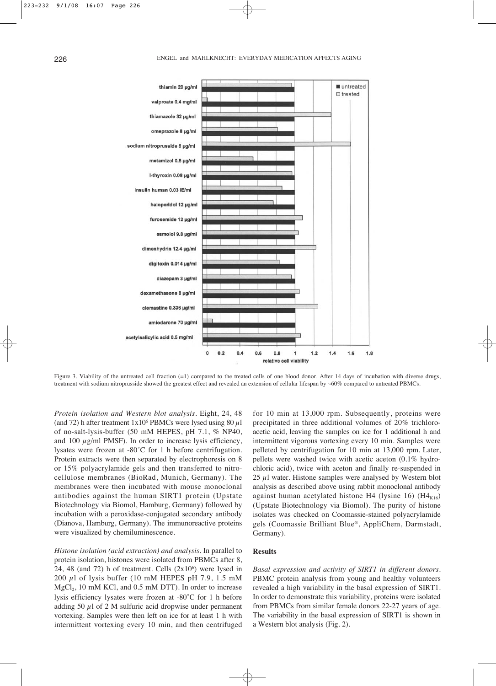

Figure 3. Viability of the untreated cell fraction (=1) compared to the treated cells of one blood donor. After 14 days of incubation with diverse drugs, treatment with sodium nitroprusside showed the greatest effect and revealed an extension of cellular lifespan by ~60% compared to untreated PBMCs.

*Protein isolation and Western blot analysis*. Eight, 24, 48 (and 72) h after treatment  $1x10^6$  PBMCs were lysed using 80  $\mu$ 1 of no-salt-lysis-buffer (50 mM HEPES, pH 7.1, % NP40, and 100  $\mu$ g/ml PMSF). In order to increase lysis efficiency, lysates were frozen at -80˚C for 1 h before centrifugation. Protein extracts were then separated by electrophoresis on 8 or 15% polyacrylamide gels and then transferred to nitrocellulose membranes (BioRad, Munich, Germany). The membranes were then incubated with mouse monoclonal antibodies against the human SIRT1 protein (Upstate Biotechnology via Biomol, Hamburg, Germany) followed by incubation with a peroxidase-conjugated secondary antibody (Dianova, Hamburg, Germany). The immunoreactive proteins were visualized by chemiluminescence.

*Histone isolation (acid extraction) and analysis*. In parallel to protein isolation, histones were isolated from PBMCs after 8, 24, 48 (and 72) h of treatment. Cells  $(2x10<sup>6</sup>)$  were lysed in 200  $\mu$ 1 of lysis buffer (10 mM HEPES pH 7.9, 1.5 mM  $MgCl<sub>2</sub>$ , 10 mM KCl, and 0.5 mM DTT). In order to increase lysis efficiency lysates were frozen at -80˚C for 1 h before adding 50  $\mu$ l of 2 M sulfuric acid dropwise under permanent vortexing. Samples were then left on ice for at least 1 h with intermittent vortexing every 10 min, and then centrifuged for 10 min at 13,000 rpm. Subsequently, proteins were precipitated in three additional volumes of 20% trichloroacetic acid, leaving the samples on ice for 1 additional h and intermittent vigorous vortexing every 10 min. Samples were pelleted by centrifugation for 10 min at 13,000 rpm. Later, pellets were washed twice with acetic aceton (0.1% hydrochloric acid), twice with aceton and finally re-suspended in 25  $\mu$ l water. Histone samples were analysed by Western blot analysis as described above using rabbit monoclonal antibody against human acetylated histone H4 (lysine 16)  $(H4_{K16})$ (Upstate Biotechnology via Biomol). The purity of histone isolates was checked on Coomassie-stained polyacrylamide gels (Coomassie Brilliant Blue®, AppliChem, Darmstadt, Germany).

# **Results**

*Basal expression and activity of SIRT1 in different donors*. PBMC protein analysis from young and healthy volunteers revealed a high variability in the basal expression of SIRT1. In order to demonstrate this variability, proteins were isolated from PBMCs from similar female donors 22-27 years of age. The variability in the basal expression of SIRT1 is shown in a Western blot analysis (Fig. 2).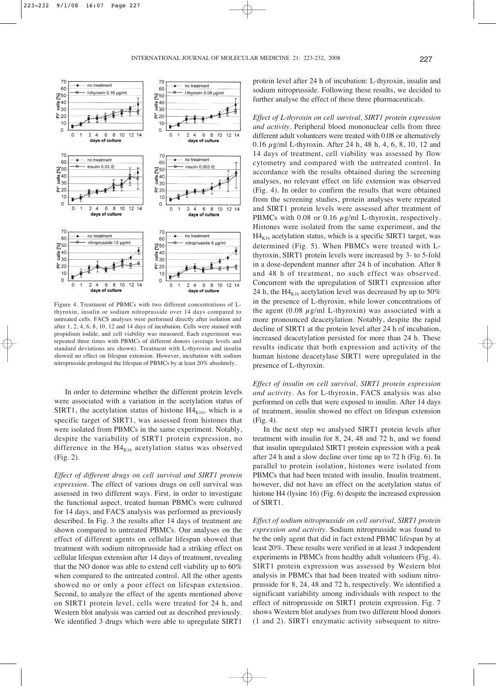

Figure 4. Treatment of PBMCs with two different concentrations of Lthyroxin, insulin or sodium nitroprusside over 14 days compared to untreated cells. FACS analyses were performed directly after isolation and after 1, 2, 4, 6, 8, 10, 12 and 14 days of incubation. Cells were stained with propidium iodide, and cell viability was measured. Each experiment was repeated three times with PBMCs of different donors (average levels and standard deviations are shown). Treatment with L-thyroxin and insulin showed no effect on lifespan extension. However, incubation with sodium nitroprusside prolonged the lifespan of PBMCs by at least 20% absolutely.

In order to determine whether the different protein levels were associated with a variation in the acetylation status of SIRT1, the acetylation status of histone  $H4_{K16}$ , which is a specific target of SIRT1, was assessed from histones that were isolated from PBMCs in the same experiment. Notably, despite the variability of SIRT1 protein expression, no difference in the  $H4_{K16}$  acetylation status was observed (Fig. 2).

*Effect of different drugs on cell survival and SIRT1 protein expression*. The effect of various drugs on cell survival was assessed in two different ways. First, in order to investigate the functional aspect, treated human PBMCs were cultured for 14 days, and FACS analysis was performed as previously described. In Fig. 3 the results after 14 days of treatment are shown compared to untreated PBMCs. Our analyses on the effect of different agents on cellular lifespan showed that treatment with sodium nitroprusside had a striking effect on cellular lifespan extension after 14 days of treatment, revealing that the NO donor was able to extend cell viability up to 60% when compared to the untreated control. All the other agents showed no or only a poor effect on lifespan extension. Second, to analyze the effect of the agents mentioned above on SIRT1 protein level, cells were treated for 24 h, and Western blot analysis was carried out as described previously. We identified 3 drugs which were able to upregulate SIRT1

protein level after 24 h of incubation: L-thyroxin, insulin and sodium nitroprusside. Following these results, we decided to further analyse the effect of these three pharmaceuticals.

*Effect of L-thyroxin on cell survival, SIRT1 protein expression and activity*. Peripheral blood mononuclear cells from three different adult volunteers were treated with 0.08 or alternatively 0.16  $\mu$ g/ml L-thyroxin. After 24 h, 48 h, 4, 6, 8, 10, 12 and 14 days of treatment, cell viability was assessed by flow cytometry and compared with the untreated control. In accordance with the results obtained during the screening analyses, no relevant effect on life extension was observed (Fig. 4). In order to confirm the results that were obtained from the screening studies, protein analyses were repeated and SIRT1 protein levels were assessed after treatment of PBMCs with 0.08 or 0.16  $\mu$ g/ml L-thyroxin, respectively. Histones were isolated from the same experiment, and the  $H4_{K16}$  acetylation status, which is a specific SIRT1 target, was determined (Fig. 5). When PBMCs were treated with Lthyroxin, SIRT1 protein levels were increased by 3- to 5-fold in a dose-dependent manner after 24 h of incubation. After 8 and 48 h of treatment, no such effect was observed. Concurrent with the upregulation of SIRT1 expression after 24 h, the H4 $_{K16}$  acetylation level was decreased by up to 50% in the presence of L-thyroxin, while lower concentrations of the agent  $(0.08 \mu g/ml$  L-thyroxin) was associated with a more pronounced deacetylation. Notably, despite the rapid decline of SIRT1 at the protein level after 24 h of incubation, increased deacetylation persisted for more than 24 h. These results indicate that both expression and activity of the human histone deacetylase SIRT1 were upregulated in the presence of L-thyroxin.

*Effect of insulin on cell survival, SIRT1 protein expression and activity*. As for L-thyroxin, FACS analysis was also performed on cells that were exposed to insulin. After 14 days of treatment, insulin showed no effect on lifespan extension (Fig. 4).

In the next step we analysed SIRT1 protein levels after treatment with insulin for 8, 24, 48 and 72 h, and we found that insulin upregulated SIRT1 protein expression with a peak after 24 h and a slow decline over time up to 72 h (Fig. 6). In parallel to protein isolation, histones were isolated from PBMCs that had been treated with insulin. Insulin treatment, however, did not have an effect on the acetylation status of histone H4 (lysine 16) (Fig. 6) despite the increased expression of SIRT1.

*Effect of sodium nitroprusside on cell survival, SIRT1 protein expression and activity*. Sodium nitroprusside was found to be the only agent that did in fact extend PBMC lifespan by at least 20%. These results were verified in at least 3 independent experiments in PBMCs from healthy adult volunteers (Fig. 4). SIRT1 protein expression was assessed by Western blot analysis in PBMCs that had been treated with sodium nitroprusside for 8, 24, 48 and 72 h, respectively. We identified a significant variability among individuals with respect to the effect of nitroprusside on SIRT1 protein expression. Fig. 7 shows Western blot analyses from two different blood donors (1 and 2). SIRT1 enzymatic activity subsequent to nitro-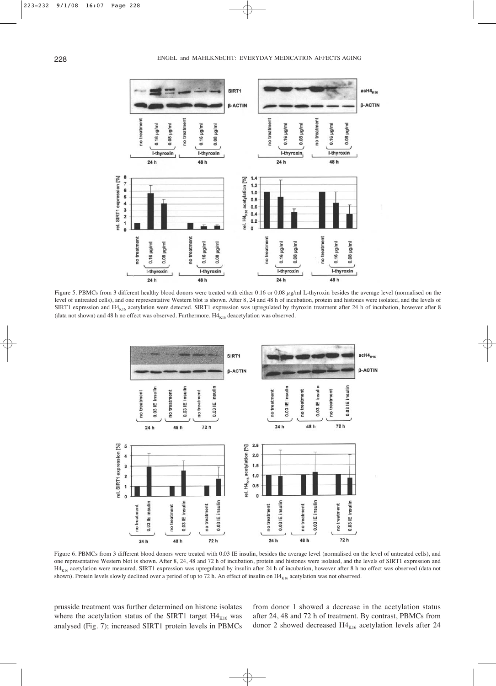

Figure 5. PBMCs from 3 different healthy blood donors were treated with either 0.16 or 0.08 μg/ml L-thyroxin besides the average level (normalised on the level of untreated cells), and one representative Western blot is shown. After 8, 24 and 48 h of incubation, protein and histones were isolated, and the levels of SIRT1 expression and  $H4_{K16}$  acetylation were detected. SIRT1 expression was upregulated by thyroxin treatment after 24 h of incubation, however after 8 (data not shown) and 48 h no effect was observed. Furthermore,  $H4_{K16}$  deacetylation was observed.



Figure 6. PBMCs from 3 different blood donors were treated with 0.03 IE insulin, besides the average level (normalised on the level of untreated cells), and one representative Western blot is shown. After 8, 24, 48 and 72 h of incubation, protein and histones were isolated, and the levels of SIRT1 expression and H4<sub>K16</sub> acetylation were measured. SIRT1 expression was upregulated by insulin after 24 h of incubation, however after 8 h no effect was observed (data not shown). Protein levels slowly declined over a period of up to 72 h. An effect of insulin on H4<sub>K16</sub> acetylation was not observed.

prusside treatment was further determined on histone isolates where the acetylation status of the SIRT1 target  $H4_{K16}$  was analysed (Fig. 7); increased SIRT1 protein levels in PBMCs

from donor 1 showed a decrease in the acetylation status after 24, 48 and 72 h of treatment. By contrast, PBMCs from donor 2 showed decreased  $H4_{K16}$  acetylation levels after 24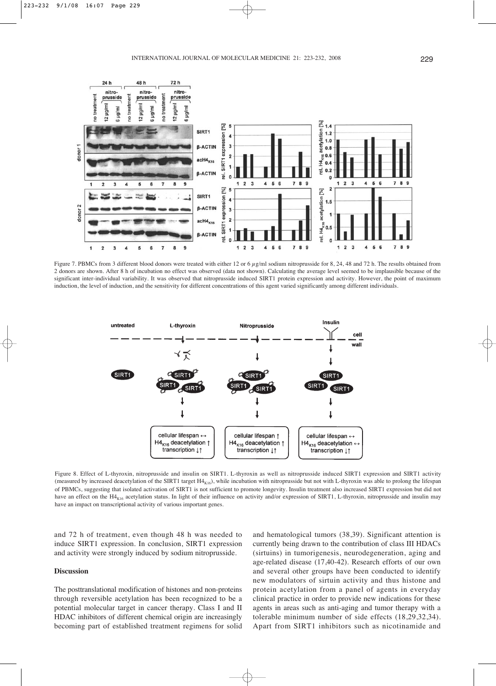

Figure 7. PBMCs from 3 different blood donors were treated with either 12 or 6  $\mu$ g/ml sodium nitroprusside for 8, 24, 48 and 72 h. The results obtained from 2 donors are shown. After 8 h of incubation no effect was observed (data not shown). Calculating the average level seemed to be implausible because of the significant inter-individual variability. It was observed that nitroprusside induced SIRT1 protein expression and activity. However, the point of maximum induction, the level of induction, and the sensitivity for different concentrations of this agent varied significantly among different individuals.



Figure 8. Effect of L-thyroxin, nitroprusside and insulin on SIRT1. L-thyroxin as well as nitroprusside induced SIRT1 expression and SIRT1 activity (measured by increased deacetylation of the SIRT1 target H4<sub>K16</sub>), while incubation with nitroprusside but not with L-thyroxin was able to prolong the lifespan of PBMCs, suggesting that isolated activation of SIRT1 is not sufficient to promote longevity. Insulin treatment also increased SIRT1 expression but did not have an effect on the H4<sub>K16</sub> acetylation status. In light of their influence on activity and/or expression of SIRT1, L-thyroxin, nitroprusside and insulin may have an impact on transcriptional activity of various important genes.

and 72 h of treatment, even though 48 h was needed to induce SIRT1 expression. In conclusion, SIRT1 expression and activity were strongly induced by sodium nitroprusside.

# **Discussion**

The posttranslational modification of histones and non-proteins through reversible acetylation has been recognized to be a potential molecular target in cancer therapy. Class I and II HDAC inhibitors of different chemical origin are increasingly becoming part of established treatment regimens for solid and hematological tumors (38,39). Significant attention is currently being drawn to the contribution of class III HDACs (sirtuins) in tumorigenesis, neurodegeneration, aging and age-related disease (17,40-42). Research efforts of our own and several other groups have been conducted to identify new modulators of sirtuin activity and thus histone and protein acetylation from a panel of agents in everyday clinical practice in order to provide new indications for these agents in areas such as anti-aging and tumor therapy with a tolerable minimum number of side effects (18,29,32,34). Apart from SIRT1 inhibitors such as nicotinamide and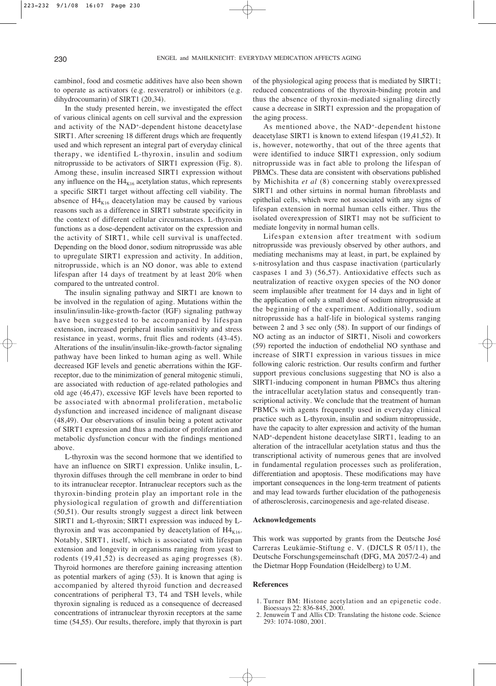cambinol, food and cosmetic additives have also been shown to operate as activators (e.g. resveratrol) or inhibitors (e.g. dihydrocoumarin) of SIRT1 (20,34).

In the study presented herein, we investigated the effect of various clinical agents on cell survival and the expression and activity of the NAD+-dependent histone deacetylase SIRT1. After screening 18 different drugs which are frequently used and which represent an integral part of everyday clinical therapy, we identified L-thyroxin, insulin and sodium nitroprusside to be activators of SIRT1 expression (Fig. 8). Among these, insulin increased SIRT1 expression without any influence on the  $H4_{K16}$  acetylation status, which represents a specific SIRT1 target without affecting cell viability. The absence of  $H4_{K16}$  deacetylation may be caused by various reasons such as a difference in SIRT1 substrate specificity in the context of different cellular circumstances. L-thyroxin functions as a dose-dependent activator on the expression and the activity of SIRT1, while cell survival is unaffected. Depending on the blood donor, sodium nitroprusside was able to upregulate SIRT1 expression and activity. In addition, nitroprusside, which is an NO donor, was able to extend lifespan after 14 days of treatment by at least 20% when compared to the untreated control.

The insulin signaling pathway and SIRT1 are known to be involved in the regulation of aging. Mutations within the insulin/insulin-like-growth-factor (IGF) signaling pathway have been suggested to be accompanied by lifespan extension, increased peripheral insulin sensitivity and stress resistance in yeast, worms, fruit flies and rodents (43-45). Alterations of the insulin/insulin-like-growth-factor signaling pathway have been linked to human aging as well. While decreased IGF levels and genetic aberrations within the IGFreceptor, due to the minimization of general mitogenic stimuli, are associated with reduction of age-related pathologies and old age (46,47), excessive IGF levels have been reported to be associated with abnormal proliferation, metabolic dysfunction and increased incidence of malignant disease (48,49). Our observations of insulin being a potent activator of SIRT1 expression and thus a mediator of proliferation and metabolic dysfunction concur with the findings mentioned above.

L-thyroxin was the second hormone that we identified to have an influence on SIRT1 expression. Unlike insulin, Lthyroxin diffuses through the cell membrane in order to bind to its intranuclear receptor. Intranuclear receptors such as the thyroxin-binding protein play an important role in the physiological regulation of growth and differentiation (50,51). Our results strongly suggest a direct link between SIRT1 and L-thyroxin; SIRT1 expression was induced by Lthyroxin and was accompanied by deacetylation of  $H4_{K16}$ . Notably, SIRT1, itself, which is associated with lifespan extension and longevity in organisms ranging from yeast to rodents (19,41,52) is decreased as aging progresses (8). Thyroid hormones are therefore gaining increasing attention as potential markers of aging (53). It is known that aging is accompanied by altered thyroid function and decreased concentrations of peripheral T3, T4 and TSH levels, while thyroxin signaling is reduced as a consequence of decreased concentrations of intranuclear thyroxin receptors at the same time (54,55). Our results, therefore, imply that thyroxin is part of the physiological aging process that is mediated by SIRT1; reduced concentrations of the thyroxin-binding protein and thus the absence of thyroxin-mediated signaling directly cause a decrease in SIRT1 expression and the propagation of the aging process.

As mentioned above, the NAD+-dependent histone deacetylase SIRT1 is known to extend lifespan (19,41,52). It is, however, noteworthy, that out of the three agents that were identified to induce SIRT1 expression, only sodium nitroprusside was in fact able to prolong the lifespan of PBMCs. These data are consistent with observations published by Michishita *et al* (8) concerning stably overexpressed SIRT1 and other sirtuins in normal human fibroblasts and epithelial cells, which were not associated with any signs of lifespan extension in normal human cells either. Thus the isolated overexpression of SIRT1 may not be sufficient to mediate longevity in normal human cells.

Lifespan extension after treatment with sodium nitroprusside was previously observed by other authors, and mediating mechanisms may at least, in part, be explained by s-nitrosylation and thus caspase inactivation (particularly caspases 1 and 3) (56,57). Antioxidative effects such as neutralization of reactive oxygen species of the NO donor seem implausible after treatment for 14 days and in light of the application of only a small dose of sodium nitroprusside at the beginning of the experiment. Additionally, sodium nitroprusside has a half-life in biological systems ranging between 2 and 3 sec only (58). In support of our findings of NO acting as an inductor of SIRT1, Nisoli and coworkers (59) reported the induction of endothelial NO synthase and increase of SIRT1 expression in various tissues in mice following caloric restriction. Our results confirm and further support previous conclusions suggesting that NO is also a SIRT1-inducing component in human PBMCs thus altering the intracellular acetylation status and consequently transcriptional activity. We conclude that the treatment of human PBMCs with agents frequently used in everyday clinical practice such as L-thyroxin, insulin and sodium nitroprusside, have the capacity to alter expression and activity of the human NAD<sup>+</sup>-dependent histone deacetylase SIRT1, leading to an alteration of the intracellular acetylation status and thus the transcriptional activity of numerous genes that are involved in fundamental regulation processes such as proliferation, differentiation and apoptosis. These modifications may have important consequences in the long-term treatment of patients and may lead towards further elucidation of the pathogenesis of atherosclerosis, carcinogenesis and age-related disease.

#### **Acknowledgements**

This work was supported by grants from the Deutsche José Carreras Leukämie-Stiftung e. V. (DJCLS R 05/11), the Deutsche Forschungsgemeinschaft (DFG, MA 2057/2-4) and the Dietmar Hopp Foundation (Heidelberg) to U.M.

#### **References**

- 1. Turner BM: Histone acetylation and an epigenetic code. Bioessays 22: 836-845, 2000.
- 2. Jenuwein T and Allis CD: Translating the histone code. Science 293: 1074-1080, 2001.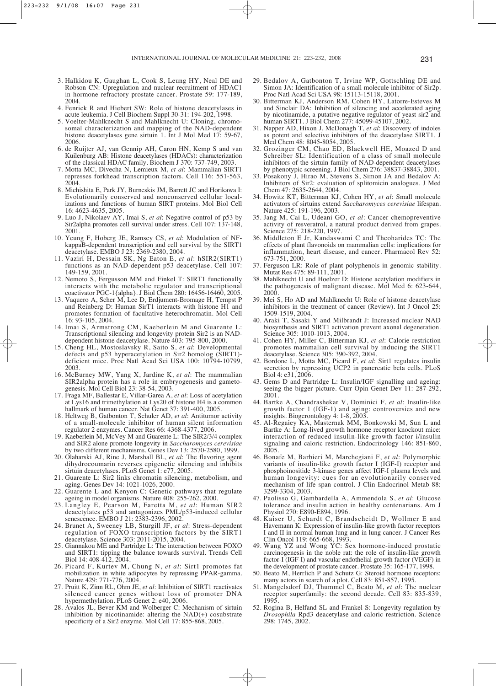- 3. Halkidou K, Gaughan L, Cook S, Leung HY, Neal DE and Robson CN: Upregulation and nuclear recruitment of HDAC1 in hormone refractory prostate cancer. Prostate 59: 177-189, 2004.
- 4. Fenrick R and Hiebert SW: Role of histone deacetylases in acute leukemia. J Cell Biochem Suppl 30-31: 194-202, 1998.
- 5. Voelter-Mahlknecht S and Mahlknecht U: Cloning, chromosomal characterization and mapping of the NAD-dependent histone deacetylases gene sirtuin 1. Int J Mol Med 17: 59-67, 2006.
- 6. de Ruijter AJ, van Gennip AH, Caron HN, Kemp S and van Kuilenburg AB: Histone deacetylases (HDACs): characterization of the classical HDAC family. Biochem J 370: 737-749, 2003.
- 7. Motta MC, Divecha N, Lemieux M, *et al*: Mammalian SIRT1 represses forkhead transcription factors. Cell 116: 551-563, 2004.
- 8. Michishita E, Park JY, Burneskis JM, Barrett JC and Horikawa I: Evolutionarily conserved and nonconserved cellular localizations and functions of human SIRT proteins. Mol Biol Cell 16: 4623-4635, 2005.
- 9. Luo J, Nikolaev AY, Imai S, *et al*: Negative control of p53 by Sir2alpha promotes cell survival under stress. Cell 107: 137-148, 2001.
- 10. Yeung F, Hoberg JE, Ramsey CS, *et al*: Modulation of NFkappaB-dependent transcription and cell survival by the SIRT1 deacetylase. EMBO J 23: 2369-2380, 2004.
- 11. Vaziri H, Dessain SK, Ng Eaton E, *et al*: hSIR2(SIRT1) functions as an NAD-dependent p53 deacetylase. Cell 107: 149-159, 2001.
- 12. Nemoto S, Fergusson MM and Finkel T: SIRT1 functionally interacts with the metabolic regulator and transcriptional coactivator PGC-1{alpha}. J Biol Chem 280: 16456-16460, 2005.
- 13. Vaquero A, Scher M, Lee D, Erdjument-Bromage H, Tempst P and Reinberg D: Human SirT1 interacts with histone H1 and promotes formation of facultative heterochromatin. Mol Cell 16: 93-105, 2004.
- 14. Imai S, Armstrong CM, Kaeberlein M and Guarente L: Transcriptional silencing and longevity protein Sir2 is an NADdependent histone deacetylase. Nature 403: 795-800, 2000.
- 15. Cheng HL, Mostoslavsky R, Saito S, *et al*: Developmental defects and p53 hyperacetylation in Sir2 homolog (SIRT1) deficient mice. Proc Natl Acad Sci USA 100: 10794-10799, 2003.
- 16. McBurney MW, Yang X, Jardine K, *et al*: The mammalian SIR2alpha protein has a role in embryogenesis and gametogenesis. Mol Cell Biol 23: 38-54, 2003.
- 17. Fraga MF, Ballestar E, Villar-Garea A, *et al*: Loss of acetylation at Lys16 and trimethylation at Lys20 of histone H4 is a common hallmark of human cancer. Nat Genet 37: 391-400, 2005.
- 18. Heltweg B, Gatbonton T, Schuler AD, *et al*: Antitumor activity of a small-molecule inhibitor of human silent information regulator 2 enzymes. Cancer Res 66: 4368-4377, 2006.
- 19. Kaeberlein M, McVey M and Guarente L: The SIR2/3/4 complex and SIR2 alone promote longevity in *Saccharomyces cerevisiae* by two different mechanisms. Genes Dev 13: 2570-2580, 1999.
- 20. Olaharski AJ, Rine J, Marshall BL, *et al*: The flavoring agent dihydrocoumarin reverses epigenetic silencing and inhibits sirtuin deacetylases. PLoS Genet 1: e77, 2005.
- 21. Guarente L: Sir2 links chromatin silencing, metabolism, and aging. Genes Dev 14: 1021-1026, 2000.
- 22. Guarente L and Kenyon C: Genetic pathways that regulate ageing in model organisms. Nature 408: 255-262, 2000.
- 23. Langley E, Pearson M, Faretta M, *et al*: Human SIR2 deacetylates p53 and antagonizes PML/p53-induced cellular senescence. EMBO J 21: 2383-2396, 2002.
- 24. Brunet A, Sweeney LB, Sturgill JF, *et al*: Stress-dependent regulation of FOXO transcription factors by the SIRT1 deacetylase. Science 303: 2011-2015, 2004.
- 25. Giannakou ME and Partridge L: The interaction between FOXO and SIRT1: tipping the balance towards survival. Trends Cell Biol 14: 408-412, 2004.
- 26. Picard F, Kurtev M, Chung N, *et al*: Sirt1 promotes fat mobilization in white adipocytes by repressing PPAR-gamma. Nature 429: 771-776, 2004.
- 27. Pruitt K, Zinn RL, Ohm JE, *et al*: Inhibition of SIRT1 reactivates silenced cancer genes without loss of promoter DNA hypermethylation. PLoS Genet 2: e40, 2006.
- 28. Avalos JL, Bever KM and Wolberger C: Mechanism of sirtuin inhibition by nicotinamide: altering the NAD(+) cosubstrate specificity of a Sir2 enzyme. Mol Cell 17: 855-868, 2005.
- 29. Bedalov A, Gatbonton T, Irvine WP, Gottschling DE and Simon JA: Identification of a small molecule inhibitor of Sir2p. Proc Natl Acad Sci USA 98: 15113-15118, 2001.
- 30. Bitterman KJ, Anderson RM, Cohen HY, Latorre-Esteves M and Sinclair DA: Inhibition of silencing and accelerated aging by nicotinamide, a putative negative regulator of yeast sir2 and human SIRT1. J Biol Chem 277: 45099-45107, 2002.
- 31. Napper AD, Hixon J, McDonagh T, *et al*: Discovery of indoles as potent and selective inhibitors of the deacetylase SIRT1. J Med Chem 48: 8045-8054, 2005.
- 32. Grozinger CM, Chao ED, Blackwell HE, Moazed D and Schreiber SL: Identification of a class of small molecule inhibitors of the sirtuin family of NAD-dependent deacetylases by phenotypic screening. J Biol Chem 276: 38837-38843, 2001.
- 33. Posakony J, Hirao M, Stevens S, Simon JA and Bedalov A: Inhibitors of Sir2: evaluation of splitomicin analogues. J Med Chem 47: 2635-2644, 2004.
- 34. Howitz KT, Bitterman KJ, Cohen HY, *et al*: Small molecule activators of sirtuins extend *Saccharomyces cerevisiae* lifespan. Nature 425: 191-196, 2003.
- 35. Jang M, Cai L, Udeani GO, *et al*: Cancer chemopreventive activity of resveratrol, a natural product derived from grapes. Science 275: 218-220, 1997.
- 36. Middleton E Jr, Kandaswami C and Theoharides TC: The effects of plant flavonoids on mammalian cells: implications for inflammation, heart disease, and cancer. Pharmacol Rev 52: 673-751, 2000.
- 37. Ferguson LR: Role of plant polyphenols in genomic stability. Mutat Res 475: 89-111, 2001.
- 38. Mahlknecht U and Hoelzer D: Histone acetylation modifiers in the pathogenesis of malignant disease. Mol Med 6: 623-644, 2000.
- 39. Mei S, Ho AD and Mahlknecht U: Role of histone deacetylase inhibitors in the treatment of cancer (Review). Int J Oncol 25: 1509-1519, 2004.
- 40. Araki T, Sasaki Y and Milbrandt J: Increased nuclear NAD biosynthesis and SIRT1 activation prevent axonal degeneration. Science 305: 1010-1013, 2004.
- 41. Cohen HY, Miller C, Bitterman KJ, *et al*: Calorie restriction promotes mammalian cell survival by inducing the SIRT1 deacetylase. Science 305: 390-392, 2004.
- 42. Bordone L, Motta MC, Picard F, *et al*: Sirt1 regulates insulin secretion by repressing UCP2 in pancreatic beta cells. PLoS Biol 4: e31, 2006.
- 43. Gems D and Partridge L: Insulin/IGF signalling and ageing: seeing the bigger picture. Curr Opin Genet Dev 11: 287-292, 2001.
- 44. Bartke A, Chandrashekar V, Dominici F, *et al*: Insulin-like growth factor 1 (IGF-1) and aging: controversies and new insights. Biogerontology 4: 1-8, 2003.
- 45. Al-Regaiey KA, Masternak MM, Bonkowski M, Sun L and Bartke A: Long-lived growth hormone receptor knockout mice: interaction of reduced insulin-like growth factor i/insulin signaling and caloric restriction. Endocrinology 146: 851-860, 2005.
- 46. Bonafe M, Barbieri M, Marchegiani F, *et al*: Polymorphic variants of insulin-like growth factor I (IGF-I) receptor and phosphoinositide 3-kinase genes affect IGF-I plasma levels and human longevity: cues for an evolutionarily conserved mechanism of life span control. J Clin Endocrinol Metab 88: 3299-3304, 2003.
- 47. Paolisso G, Gambardella A, Ammendola S, *et al*: Glucose tolerance and insulin action in healthy centenarians. Am J Physiol 270: E890-E894, 1996.
- 48. Kaiser U, Schardt C, Brandscheidt D, Wollmer E and Havemann K: Expression of insulin-like growth factor receptors I and II in normal human lung and in lung cancer. J Cancer Res Clin Oncol 119: 665-668, 1993.
- 49. Wang YZ and Wong YC: Sex hormone-induced prostatic carcinogenesis in the noble rat: the role of insulin-like growth factor-I (IGF-I) and vascular endothelial growth factor (VEGF) in the development of prostate cancer. Prostate 35: 165-177, 1998.
- 50. Beato M, Herrlich P and Schutz G: Steroid hormone receptors: many actors in search of a plot. Cell 83: 851-857, 1995.
- 51. Mangelsdorf DJ, Thummel C, Beato M, *et al*: The nuclear receptor superfamily: the second decade. Cell 83: 835-839, 1995.
- 52. Rogina B, Helfand SL and Frankel S: Longevity regulation by *Drosophila* Rpd3 deacetylase and caloric restriction. Science 298: 1745, 2002.